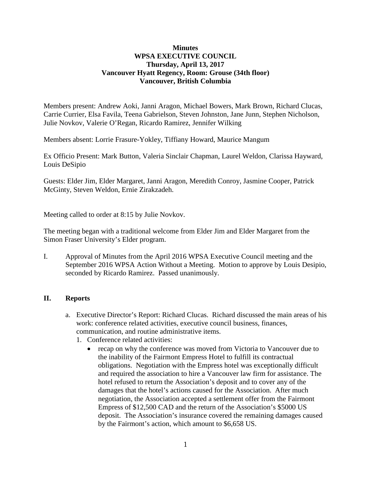## **Minutes WPSA EXECUTIVE COUNCIL Thursday, April 13, 2017 Vancouver Hyatt Regency, Room: Grouse (34th floor) Vancouver, British Columbia**

Members present: Andrew Aoki, Janni Aragon, Michael Bowers, Mark Brown, Richard Clucas, Carrie Currier, Elsa Favila, Teena Gabrielson, Steven Johnston, Jane Junn, Stephen Nicholson, Julie Novkov, Valerie O'Regan, Ricardo Ramirez, Jennifer Wilking

Members absent: Lorrie Frasure-Yokley, Tiffiany Howard, Maurice Mangum

Ex Officio Present: Mark Button, Valeria Sinclair Chapman, Laurel Weldon, Clarissa Hayward, Louis DeSipio

Guests: Elder Jim, Elder Margaret, Janni Aragon, Meredith Conroy, Jasmine Cooper, Patrick McGinty, Steven Weldon, Ernie Zirakzadeh.

Meeting called to order at 8:15 by Julie Novkov.

The meeting began with a traditional welcome from Elder Jim and Elder Margaret from the Simon Fraser University's Elder program.

I. Approval of Minutes from the April 2016 WPSA Executive Council meeting and the September 2016 WPSA Action Without a Meeting. Motion to approve by Louis Desipio, seconded by Ricardo Ramirez. Passed unanimously.

## **II. Reports**

- a. Executive Director's Report: Richard Clucas. Richard discussed the main areas of his work: conference related activities, executive council business, finances, communication, and routine administrative items.
	- 1. Conference related activities:
		- recap on why the conference was moved from Victoria to Vancouver due to the inability of the Fairmont Empress Hotel to fulfill its contractual obligations. Negotiation with the Empress hotel was exceptionally difficult and required the association to hire a Vancouver law firm for assistance. The hotel refused to return the Association's deposit and to cover any of the damages that the hotel's actions caused for the Association. After much negotiation, the Association accepted a settlement offer from the Fairmont Empress of \$12,500 CAD and the return of the Association's \$5000 US deposit. The Association's insurance covered the remaining damages caused by the Fairmont's action, which amount to \$6,658 US.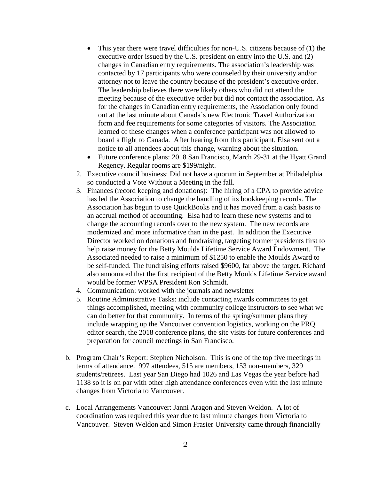- This year there were travel difficulties for non-U.S. citizens because of (1) the executive order issued by the U.S. president on entry into the U.S. and (2) changes in Canadian entry requirements. The association's leadership was contacted by 17 participants who were counseled by their university and/or attorney not to leave the country because of the president's executive order. The leadership believes there were likely others who did not attend the meeting because of the executive order but did not contact the association. As for the changes in Canadian entry requirements, the Association only found out at the last minute about Canada's new Electronic Travel Authorization form and fee requirements for some categories of visitors. The Association learned of these changes when a conference participant was not allowed to board a flight to Canada. After hearing from this participant, Elsa sent out a notice to all attendees about this change, warning about the situation.
- Future conference plans: 2018 San Francisco, March 29-31 at the Hyatt Grand Regency. Regular rooms are \$199/night.
- 2. Executive council business: Did not have a quorum in September at Philadelphia so conducted a Vote Without a Meeting in the fall.
- 3. Finances (record keeping and donations): The hiring of a CPA to provide advice has led the Association to change the handling of its bookkeeping records. The Association has begun to use QuickBooks and it has moved from a cash basis to an accrual method of accounting. Elsa had to learn these new systems and to change the accounting records over to the new system. The new records are modernized and more informative than in the past. In addition the Executive Director worked on donations and fundraising, targeting former presidents first to help raise money for the Betty Moulds Lifetime Service Award Endowment. The Associated needed to raise a minimum of \$1250 to enable the Moulds Award to be self-funded. The fundraising efforts raised \$9600, far above the target. Richard also announced that the first recipient of the Betty Moulds Lifetime Service award would be former WPSA President Ron Schmidt.
- 4. Communication: worked with the journals and newsletter
- 5. Routine Administrative Tasks: include contacting awards committees to get things accomplished, meeting with community college instructors to see what we can do better for that community. In terms of the spring/summer plans they include wrapping up the Vancouver convention logistics, working on the PRQ editor search, the 2018 conference plans, the site visits for future conferences and preparation for council meetings in San Francisco.
- b. Program Chair's Report: Stephen Nicholson. This is one of the top five meetings in terms of attendance. 997 attendees, 515 are members, 153 non-members, 329 students/retirees. Last year San Diego had 1026 and Las Vegas the year before had 1138 so it is on par with other high attendance conferences even with the last minute changes from Victoria to Vancouver.
- c. Local Arrangements Vancouver: Janni Aragon and Steven Weldon. A lot of coordination was required this year due to last minute changes from Victoria to Vancouver. Steven Weldon and Simon Frasier University came through financially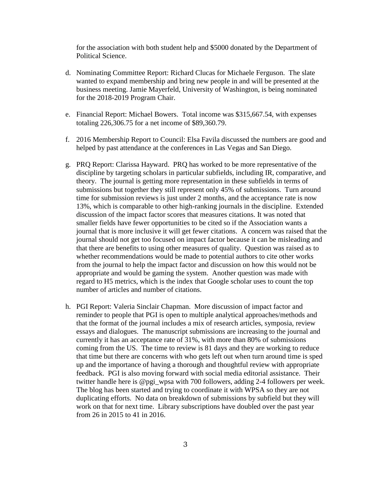for the association with both student help and \$5000 donated by the Department of Political Science.

- d. Nominating Committee Report: Richard Clucas for Michaele Ferguson. The slate wanted to expand membership and bring new people in and will be presented at the business meeting. Jamie Mayerfeld, University of Washington, is being nominated for the 2018-2019 Program Chair.
- e. Financial Report: Michael Bowers. Total income was \$315,667.54, with expenses totaling 226,306.75 for a net income of \$89,360.79.
- f. 2016 Membership Report to Council: Elsa Favila discussed the numbers are good and helped by past attendance at the conferences in Las Vegas and San Diego.
- g. PRQ Report: Clarissa Hayward. PRQ has worked to be more representative of the discipline by targeting scholars in particular subfields, including IR, comparative, and theory. The journal is getting more representation in these subfields in terms of submissions but together they still represent only 45% of submissions. Turn around time for submission reviews is just under 2 months, and the acceptance rate is now 13%, which is comparable to other high-ranking journals in the discipline. Extended discussion of the impact factor scores that measures citations. It was noted that smaller fields have fewer opportunities to be cited so if the Association wants a journal that is more inclusive it will get fewer citations. A concern was raised that the journal should not get too focused on impact factor because it can be misleading and that there are benefits to using other measures of quality. Question was raised as to whether recommendations would be made to potential authors to cite other works from the journal to help the impact factor and discussion on how this would not be appropriate and would be gaming the system. Another question was made with regard to H5 metrics, which is the index that Google scholar uses to count the top number of articles and number of citations.
- h. PGI Report: Valeria Sinclair Chapman. More discussion of impact factor and reminder to people that PGI is open to multiple analytical approaches/methods and that the format of the journal includes a mix of research articles, symposia, review essays and dialogues. The manuscript submissions are increasing to the journal and currently it has an acceptance rate of 31%, with more than 80% of submissions coming from the US. The time to review is 81 days and they are working to reduce that time but there are concerns with who gets left out when turn around time is sped up and the importance of having a thorough and thoughtful review with appropriate feedback. PGI is also moving forward with social media editorial assistance. Their twitter handle here is @pgi\_wpsa with 700 followers, adding 2-4 followers per week. The blog has been started and trying to coordinate it with WPSA so they are not duplicating efforts. No data on breakdown of submissions by subfield but they will work on that for next time. Library subscriptions have doubled over the past year from 26 in 2015 to 41 in 2016.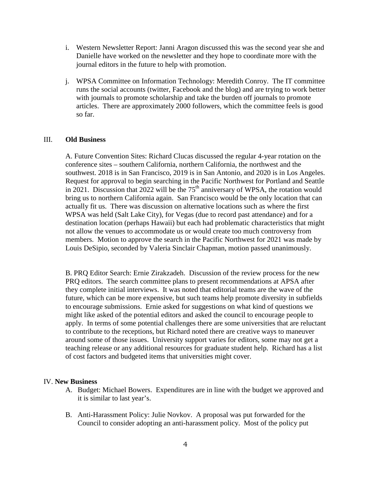- i. Western Newsletter Report: Janni Aragon discussed this was the second year she and Danielle have worked on the newsletter and they hope to coordinate more with the journal editors in the future to help with promotion.
- j. WPSA Committee on Information Technology: Meredith Conroy. The IT committee runs the social accounts (twitter, Facebook and the blog) and are trying to work better with journals to promote scholarship and take the burden off journals to promote articles. There are approximately 2000 followers, which the committee feels is good so far.

## III. **Old Business**

A. Future Convention Sites: Richard Clucas discussed the regular 4-year rotation on the conference sites – southern California, northern California, the northwest and the southwest. 2018 is in San Francisco, 2019 is in San Antonio, and 2020 is in Los Angeles. Request for approval to begin searching in the Pacific Northwest for Portland and Seattle in 2021. Discussion that  $2022$  will be the 75<sup>th</sup> anniversary of WPSA, the rotation would bring us to northern California again. San Francisco would be the only location that can actually fit us. There was discussion on alternative locations such as where the first WPSA was held (Salt Lake City), for Vegas (due to record past attendance) and for a destination location (perhaps Hawaii) but each had problematic characteristics that might not allow the venues to accommodate us or would create too much controversy from members. Motion to approve the search in the Pacific Northwest for 2021 was made by Louis DeSipio, seconded by Valeria Sinclair Chapman, motion passed unanimously.

B. PRQ Editor Search: Ernie Zirakzadeh. Discussion of the review process for the new PRQ editors. The search committee plans to present recommendations at APSA after they complete initial interviews. It was noted that editorial teams are the wave of the future, which can be more expensive, but such teams help promote diversity in subfields to encourage submissions. Ernie asked for suggestions on what kind of questions we might like asked of the potential editors and asked the council to encourage people to apply. In terms of some potential challenges there are some universities that are reluctant to contribute to the receptions, but Richard noted there are creative ways to maneuver around some of those issues. University support varies for editors, some may not get a teaching release or any additional resources for graduate student help. Richard has a list of cost factors and budgeted items that universities might cover.

## IV. **New Business**

- A. Budget: Michael Bowers. Expenditures are in line with the budget we approved and it is similar to last year's.
- B. Anti-Harassment Policy: Julie Novkov. A proposal was put forwarded for the Council to consider adopting an anti-harassment policy. Most of the policy put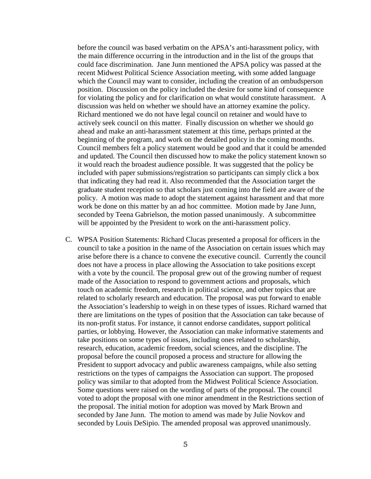before the council was based verbatim on the APSA's anti-harassment policy, with the main difference occurring in the introduction and in the list of the groups that could face discrimination. Jane Junn mentioned the APSA policy was passed at the recent Midwest Political Science Association meeting, with some added language which the Council may want to consider, including the creation of an ombudsperson position. Discussion on the policy included the desire for some kind of consequence for violating the policy and for clarification on what would constitute harassment. A discussion was held on whether we should have an attorney examine the policy. Richard mentioned we do not have legal council on retainer and would have to actively seek council on this matter. Finally discussion on whether we should go ahead and make an anti-harassment statement at this time, perhaps printed at the beginning of the program, and work on the detailed policy in the coming months. Council members felt a policy statement would be good and that it could be amended and updated. The Council then discussed how to make the policy statement known so it would reach the broadest audience possible. It was suggested that the policy be included with paper submissions/registration so participants can simply click a box that indicating they had read it. Also recommended that the Association target the graduate student reception so that scholars just coming into the field are aware of the policy. A motion was made to adopt the statement against harassment and that more work be done on this matter by an ad hoc committee. Motion made by Jane Junn, seconded by Teena Gabrielson, the motion passed unanimously. A subcommittee will be appointed by the President to work on the anti-harassment policy.

C. WPSA Position Statements: Richard Clucas presented a proposal for officers in the council to take a position in the name of the Association on certain issues which may arise before there is a chance to convene the executive council. Currently the council does not have a process in place allowing the Association to take positions except with a vote by the council. The proposal grew out of the growing number of request made of the Association to respond to government actions and proposals, which touch on academic freedom, research in political science, and other topics that are related to scholarly research and education. The proposal was put forward to enable the Association's leadership to weigh in on these types of issues. Richard warned that there are limitations on the types of position that the Association can take because of its non-profit status. For instance, it cannot endorse candidates, support political parties, or lobbying. However, the Association can make informative statements and take positions on some types of issues, including ones related to scholarship, research, education, academic freedom, social sciences, and the discipline. The proposal before the council proposed a process and structure for allowing the President to support advocacy and public awareness campaigns, while also setting restrictions on the types of campaigns the Association can support. The proposed policy was similar to that adopted from the Midwest Political Science Association. Some questions were raised on the wording of parts of the proposal. The council voted to adopt the proposal with one minor amendment in the Restrictions section of the proposal. The initial motion for adoption was moved by Mark Brown and seconded by Jane Junn. The motion to amend was made by Julie Novkov and seconded by Louis DeSipio. The amended proposal was approved unanimously.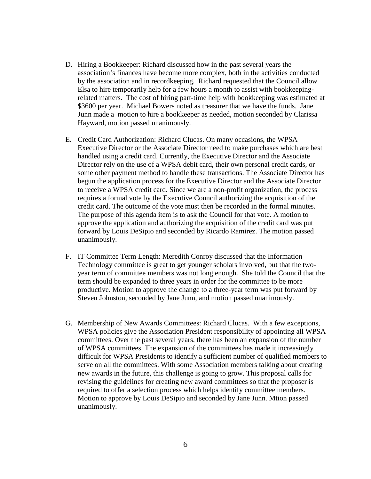- D. Hiring a Bookkeeper: Richard discussed how in the past several years the association's finances have become more complex, both in the activities conducted by the association and in recordkeeping. Richard requested that the Council allow Elsa to hire temporarily help for a few hours a month to assist with bookkeepingrelated matters. The cost of hiring part-time help with bookkeeping was estimated at \$3600 per year. Michael Bowers noted as treasurer that we have the funds. Jane Junn made a motion to hire a bookkeeper as needed, motion seconded by Clarissa Hayward, motion passed unanimously.
- E. Credit Card Authorization: Richard Clucas. On many occasions, the WPSA Executive Director or the Associate Director need to make purchases which are best handled using a credit card. Currently, the Executive Director and the Associate Director rely on the use of a WPSA debit card, their own personal credit cards, or some other payment method to handle these transactions. The Associate Director has begun the application process for the Executive Director and the Associate Director to receive a WPSA credit card. Since we are a non-profit organization, the process requires a formal vote by the Executive Council authorizing the acquisition of the credit card. The outcome of the vote must then be recorded in the formal minutes. The purpose of this agenda item is to ask the Council for that vote. A motion to approve the application and authorizing the acquisition of the credit card was put forward by Louis DeSipio and seconded by Ricardo Ramirez. The motion passed unanimously.
- F. IT Committee Term Length: Meredith Conroy discussed that the Information Technology committee is great to get younger scholars involved, but that the twoyear term of committee members was not long enough. She told the Council that the term should be expanded to three years in order for the committee to be more productive. Motion to approve the change to a three-year term was put forward by Steven Johnston, seconded by Jane Junn, and motion passed unanimously.
- G. Membership of New Awards Committees: Richard Clucas. With a few exceptions, WPSA policies give the Association President responsibility of appointing all WPSA committees. Over the past several years, there has been an expansion of the number of WPSA committees. The expansion of the committees has made it increasingly difficult for WPSA Presidents to identify a sufficient number of qualified members to serve on all the committees. With some Association members talking about creating new awards in the future, this challenge is going to grow. This proposal calls for revising the guidelines for creating new award committees so that the proposer is required to offer a selection process which helps identify committee members. Motion to approve by Louis DeSipio and seconded by Jane Junn. Mtion passed unanimously.